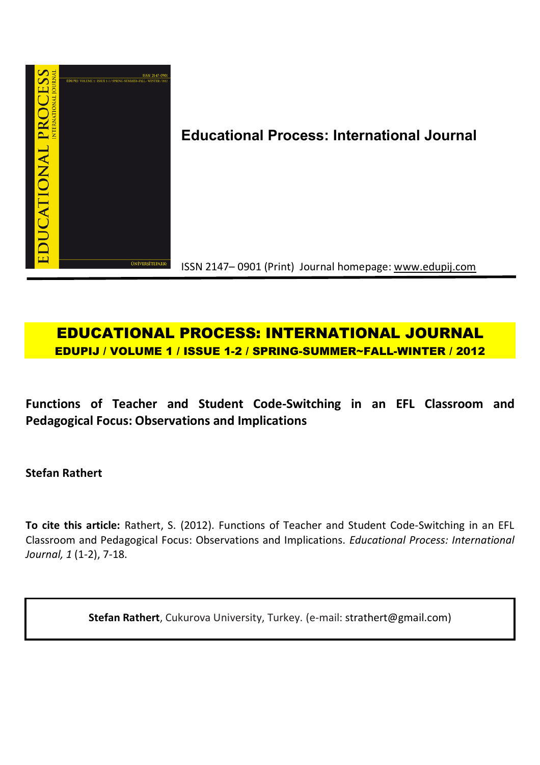

**Educational Process: International Journal**

ISSN 2147– 0901 (Print) Journal homepage: www.edupij.com

# **EDUCATIONAL PROCESS: INTERNATIONAL JOURNAL EDUPIJ / VOLUME 1 / ISSUE 1-2 / SPRING-SUMMER~FALL-WINTER / 2012**

**Functions of Teacher and Student Code-Switching in an EFL Classroom and Pedagogical Focus: Observations and Implications**

**Stefan Rathert**

**To cite this article:** Rathert, S. (2012). Functions of Teacher and Student Code-Switching in an EFL Classroom and Pedagogical Focus: Observations and Implications. *Educational Process: International Journal, 1* (1-2), 7-18.

**Stefan Rathert**, Cukurova University, Turkey. (e-mail: strathert@gmail.com)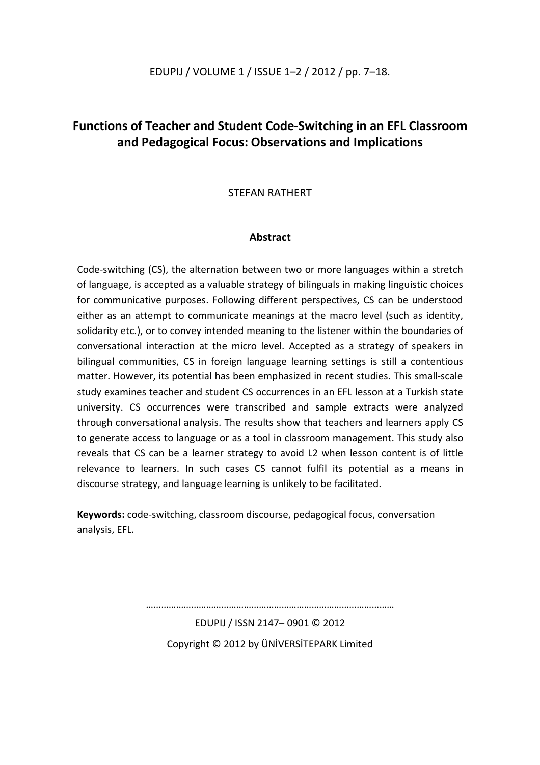## EDUPIJ / VOLUME 1 / ISSUE 1–2 / 2012 / pp. 7–18.

## **Functions of Teacher and Student Code-Switching in an EFL Classroom and Pedagogical Focus: Observations and Implications**

## STEFAN RATHERT

## **Abstract**

Code-switching (CS), the alternation between two or more languages within a stretch of language, is accepted as a valuable strategy of bilinguals in making linguistic choices for communicative purposes. Following different perspectives, CS can be understood either as an attempt to communicate meanings at the macro level (such as identity, solidarity etc.), or to convey intended meaning to the listener within the boundaries of conversational interaction at the micro level. Accepted as a strategy of speakers in bilingual communities, CS in foreign language learning settings is still a contentious matter. However, its potential has been emphasized in recent studies. This small-scale study examines teacher and student CS occurrences in an EFL lesson at a Turkish state university. CS occurrences were transcribed and sample extracts were analyzed through conversational analysis. The results show that teachers and learners apply CS to generate access to language or as a tool in classroom management. This study also reveals that CS can be a learner strategy to avoid L2 when lesson content is of little relevance to learners. In such cases CS cannot fulfil its potential as a means in discourse strategy, and language learning is unlikely to be facilitated.

**Keywords:** code-switching, classroom discourse, pedagogical focus, conversation analysis, EFL.

………………………………………………………………………………………

EDUPIJ / ISSN 2147– 0901 © 2012 Copyright © 2012 by ÜNİVERSİTEPARK Limited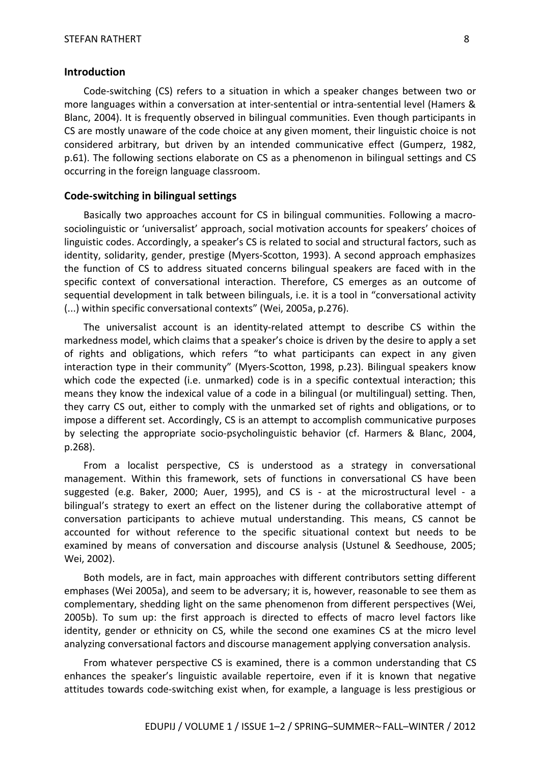#### **Introduction**

Code-switching (CS) refers to a situation in which a speaker changes between two or more languages within a conversation at inter-sentential or intra-sentential level (Hamers & Blanc, 2004). It is frequently observed in bilingual communities. Even though participants in CS are mostly unaware of the code choice at any given moment, their linguistic choice is not considered arbitrary, but driven by an intended communicative effect (Gumperz, 1982, p.61). The following sections elaborate on CS as a phenomenon in bilingual settings and CS occurring in the foreign language classroom.

#### **Code-switching in bilingual settings**

Basically two approaches account for CS in bilingual communities. Following a macrosociolinguistic or 'universalist' approach, social motivation accounts for speakers' choices of linguistic codes. Accordingly, a speaker's CS is related to social and structural factors, such as identity, solidarity, gender, prestige (Myers-Scotton, 1993). A second approach emphasizes the function of CS to address situated concerns bilingual speakers are faced with in the specific context of conversational interaction. Therefore, CS emerges as an outcome of sequential development in talk between bilinguals, i.e. it is a tool in "conversational activity (...) within specific conversational contexts" (Wei, 2005a, p.276).

The universalist account is an identity-related attempt to describe CS within the markedness model, which claims that a speaker's choice is driven by the desire to apply a set of rights and obligations, which refers "to what participants can expect in any given interaction type in their community" (Myers-Scotton, 1998, p.23). Bilingual speakers know which code the expected (i.e. unmarked) code is in a specific contextual interaction; this means they know the indexical value of a code in a bilingual (or multilingual) setting. Then, they carry CS out, either to comply with the unmarked set of rights and obligations, or to impose a different set. Accordingly, CS is an attempt to accomplish communicative purposes by selecting the appropriate socio-psycholinguistic behavior (cf. Harmers & Blanc, 2004, p.268).

From a localist perspective, CS is understood as a strategy in conversational management. Within this framework, sets of functions in conversational CS have been suggested (e.g. Baker, 2000; Auer, 1995), and CS is - at the microstructural level - a bilingual's strategy to exert an effect on the listener during the collaborative attempt of conversation participants to achieve mutual understanding. This means, CS cannot be accounted for without reference to the specific situational context but needs to be examined by means of conversation and discourse analysis (Ustunel & Seedhouse, 2005; Wei, 2002).

Both models, are in fact, main approaches with different contributors setting different emphases (Wei 2005a), and seem to be adversary; it is, however, reasonable to see them as complementary, shedding light on the same phenomenon from different perspectives (Wei, 2005b). To sum up: the first approach is directed to effects of macro level factors like identity, gender or ethnicity on CS, while the second one examines CS at the micro level analyzing conversational factors and discourse management applying conversation analysis.

From whatever perspective CS is examined, there is a common understanding that CS enhances the speaker's linguistic available repertoire, even if it is known that negative attitudes towards code-switching exist when, for example, a language is less prestigious or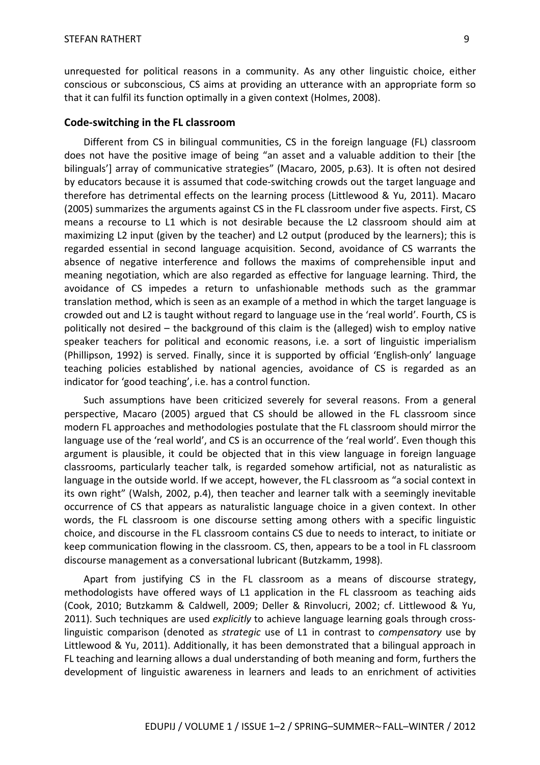unrequested for political reasons in a community. As any other linguistic choice, either conscious or subconscious, CS aims at providing an utterance with an appropriate form so that it can fulfil its function optimally in a given context (Holmes, 2008).

#### **Code-switching in the FL classroom**

Different from CS in bilingual communities, CS in the foreign language (FL) classroom does not have the positive image of being "an asset and a valuable addition to their [the bilinguals'] array of communicative strategies" (Macaro, 2005, p.63). It is often not desired by educators because it is assumed that code-switching crowds out the target language and therefore has detrimental effects on the learning process (Littlewood & Yu, 2011). Macaro (2005) summarizes the arguments against CS in the FL classroom under five aspects. First, CS means a recourse to L1 which is not desirable because the L2 classroom should aim at maximizing L2 input (given by the teacher) and L2 output (produced by the learners); this is regarded essential in second language acquisition. Second, avoidance of CS warrants the absence of negative interference and follows the maxims of comprehensible input and meaning negotiation, which are also regarded as effective for language learning. Third, the avoidance of CS impedes a return to unfashionable methods such as the grammar translation method, which is seen as an example of a method in which the target language is crowded out and L2 is taught without regard to language use in the 'real world'. Fourth, CS is politically not desired – the background of this claim is the (alleged) wish to employ native speaker teachers for political and economic reasons, i.e. a sort of linguistic imperialism (Phillipson, 1992) is served. Finally, since it is supported by official 'English-only' language teaching policies established by national agencies, avoidance of CS is regarded as an indicator for 'good teaching', i.e. has a control function.

Such assumptions have been criticized severely for several reasons. From a general perspective, Macaro (2005) argued that CS should be allowed in the FL classroom since modern FL approaches and methodologies postulate that the FL classroom should mirror the language use of the 'real world', and CS is an occurrence of the 'real world'. Even though this argument is plausible, it could be objected that in this view language in foreign language classrooms, particularly teacher talk, is regarded somehow artificial, not as naturalistic as language in the outside world. If we accept, however, the FL classroom as "a social context in its own right" (Walsh, 2002, p.4), then teacher and learner talk with a seemingly inevitable occurrence of CS that appears as naturalistic language choice in a given context. In other words, the FL classroom is one discourse setting among others with a specific linguistic choice, and discourse in the FL classroom contains CS due to needs to interact, to initiate or keep communication flowing in the classroom. CS, then, appears to be a tool in FL classroom discourse management as a conversational lubricant (Butzkamm, 1998).

Apart from justifying CS in the FL classroom as a means of discourse strategy, methodologists have offered ways of L1 application in the FL classroom as teaching aids (Cook, 2010; Butzkamm & Caldwell, 2009; Deller & Rinvolucri, 2002; cf. Littlewood & Yu, 2011). Such techniques are used *explicitly* to achieve language learning goals through crosslinguistic comparison (denoted as *strategic* use of L1 in contrast to *compensatory* use by Littlewood & Yu, 2011). Additionally, it has been demonstrated that a bilingual approach in FL teaching and learning allows a dual understanding of both meaning and form, furthers the development of linguistic awareness in learners and leads to an enrichment of activities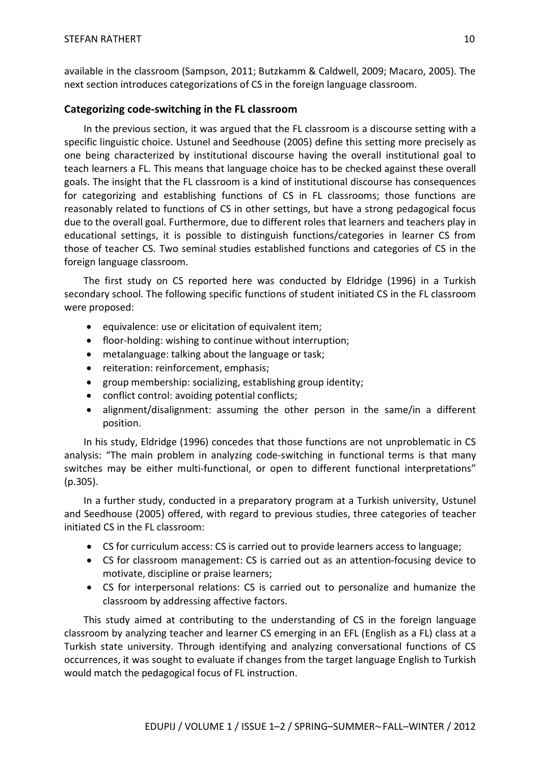available in the classroom (Sampson, 2011; Butzkamm & Caldwell, 2009; Macaro, 2005). The next section introduces categorizations of CS in the foreign language classroom.

## **Categorizing code-switching in the FL classroom**

In the previous section, it was argued that the FL classroom is a discourse setting with a specific linguistic choice. Ustunel and Seedhouse (2005) define this setting more precisely as one being characterized by institutional discourse having the overall institutional goal to teach learners a FL. This means that language choice has to be checked against these overall goals. The insight that the FL classroom is a kind of institutional discourse has consequences for categorizing and establishing functions of CS in FL classrooms; those functions are reasonably related to functions of CS in other settings, but have a strong pedagogical focus due to the overall goal. Furthermore, due to different roles that learners and teachers play in educational settings, it is possible to distinguish functions/categories in learner CS from those of teacher CS. Two seminal studies established functions and categories of CS in the foreign language classroom.

The first study on CS reported here was conducted by Eldridge (1996) in a Turkish secondary school. The following specific functions of student initiated CS in the FL classroom were proposed:

- **•** equivalence: use or elicitation of equivalent item;
- floor-holding: wishing to continue without interruption;
- metalanguage: talking about the language or task;
- reiteration: reinforcement, emphasis;
- group membership: socializing, establishing group identity;
- conflict control: avoiding potential conflicts;
- alignment/disalignment: assuming the other person in the same/in a different position.

In his study, Eldridge (1996) concedes that those functions are not unproblematic in CS analysis: "The main problem in analyzing code-switching in functional terms is that many switches may be either multi-functional, or open to different functional interpretations" (p.305).

In a further study, conducted in a preparatory program at a Turkish university, Ustunel and Seedhouse (2005) offered, with regard to previous studies, three categories of teacher initiated CS in the FL classroom:

- CS for curriculum access: CS is carried out to provide learners access to language;
- CS for classroom management: CS is carried out as an attention-focusing device to motivate, discipline or praise learners;
- CS for interpersonal relations: CS is carried out to personalize and humanize the classroom by addressing affective factors.

This study aimed at contributing to the understanding of CS in the foreign language classroom by analyzing teacher and learner CS emerging in an EFL (English as a FL) class at a Turkish state university. Through identifying and analyzing conversational functions of CS occurrences, it was sought to evaluate if changes from the target language English to Turkish would match the pedagogical focus of FL instruction.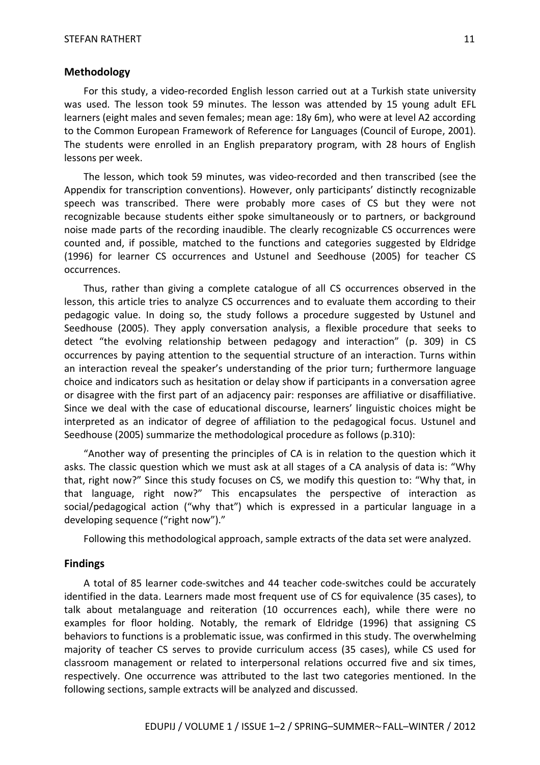#### **Methodology**

For this study, a video-recorded English lesson carried out at a Turkish state university was used. The lesson took 59 minutes. The lesson was attended by 15 young adult EFL learners (eight males and seven females; mean age: 18y 6m), who were at level A2 according to the Common European Framework of Reference for Languages (Council of Europe, 2001). The students were enrolled in an English preparatory program, with 28 hours of English lessons per week.

The lesson, which took 59 minutes, was video-recorded and then transcribed (see the Appendix for transcription conventions). However, only participants' distinctly recognizable speech was transcribed. There were probably more cases of CS but they were not recognizable because students either spoke simultaneously or to partners, or background noise made parts of the recording inaudible. The clearly recognizable CS occurrences were counted and, if possible, matched to the functions and categories suggested by Eldridge (1996) for learner CS occurrences and Ustunel and Seedhouse (2005) for teacher CS occurrences.

Thus, rather than giving a complete catalogue of all CS occurrences observed in the lesson, this article tries to analyze CS occurrences and to evaluate them according to their pedagogic value. In doing so, the study follows a procedure suggested by Ustunel and Seedhouse (2005). They apply conversation analysis, a flexible procedure that seeks to detect "the evolving relationship between pedagogy and interaction" (p. 309) in CS occurrences by paying attention to the sequential structure of an interaction. Turns within an interaction reveal the speaker's understanding of the prior turn; furthermore language choice and indicators such as hesitation or delay show if participants in a conversation agree or disagree with the first part of an adjacency pair: responses are affiliative or disaffiliative. Since we deal with the case of educational discourse, learners' linguistic choices might be interpreted as an indicator of degree of affiliation to the pedagogical focus. Ustunel and Seedhouse (2005) summarize the methodological procedure as follows (p.310):

"Another way of presenting the principles of CA is in relation to the question which it asks. The classic question which we must ask at all stages of a CA analysis of data is: "Why that, right now?" Since this study focuses on CS, we modify this question to: "Why that, in that language, right now?" This encapsulates the perspective of interaction as social/pedagogical action ("why that") which is expressed in a particular language in a developing sequence ("right now")."

Following this methodological approach, sample extracts of the data set were analyzed.

#### **Findings**

A total of 85 learner code-switches and 44 teacher code-switches could be accurately identified in the data. Learners made most frequent use of CS for equivalence (35 cases), to talk about metalanguage and reiteration (10 occurrences each), while there were no examples for floor holding. Notably, the remark of Eldridge (1996) that assigning CS behaviors to functions is a problematic issue, was confirmed in this study. The overwhelming majority of teacher CS serves to provide curriculum access (35 cases), while CS used for classroom management or related to interpersonal relations occurred five and six times, respectively. One occurrence was attributed to the last two categories mentioned. In the following sections, sample extracts will be analyzed and discussed.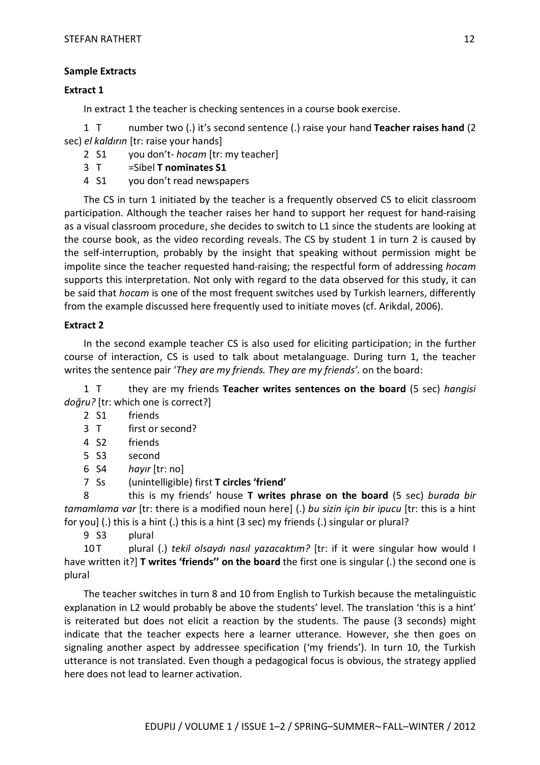#### **Sample Extracts**

#### **Extract 1**

In extract 1 the teacher is checking sentences in a course book exercise.

1 T number two (.) it's second sentence (.) raise your hand **Teacher raises hand** (2 sec) *el kaldırın* [tr: raise your hands]

2 S1 you don't- *hocam* [tr: my teacher]

- 3 T =Sibel **T nominates S1**
- 4 S1 you don't read newspapers

The CS in turn 1 initiated by the teacher is a frequently observed CS to elicit classroom participation. Although the teacher raises her hand to support her request for hand-raising as a visual classroom procedure, she decides to switch to L1 since the students are looking at the course book, as the video recording reveals. The CS by student 1 in turn 2 is caused by the self-interruption, probably by the insight that speaking without permission might be impolite since the teacher requested hand-raising; the respectful form of addressing *hocam* supports this interpretation. Not only with regard to the data observed for this study, it can be said that *hocam* is one of the most frequent switches used by Turkish learners, differently from the example discussed here frequently used to initiate moves (cf. Arikdal, 2006).

#### **Extract 2**

In the second example teacher CS is also used for eliciting participation; in the further course of interaction, CS is used to talk about metalanguage. During turn 1, the teacher writes the sentence pair '*They are my friends. They are my friends'.* on the board:

1 T they are my friends **Teacher writes sentences on the board** (5 sec) *hangisi doğru?* [tr: which one is correct?]

- 2 S1 friends
- 3 T first or second?
- 4 S2 friends
- 5 S3 second
- 6 S4 *hayır* [tr: no]
- 7 Ss (unintelligible) first **T circles 'friend'**

8 this is my friends' house **T writes phrase on the board** (5 sec) *burada bir tamamlama var* [tr: there is a modified noun here] (.) *bu sizin için bir ipucu* [tr: this is a hint for you] (.) this is a hint (.) this is a hint (3 sec) my friends (.) singular or plural?

9 S3 plural

10 T plural (.) *tekil olsaydı nasıl yazacaktım?* [tr: if it were singular how would I have written it?] **T writes 'friends'' on the board** the first one is singular (.) the second one is plural

The teacher switches in turn 8 and 10 from English to Turkish because the metalinguistic explanation in L2 would probably be above the students' level. The translation 'this is a hint' is reiterated but does not elicit a reaction by the students. The pause (3 seconds) might indicate that the teacher expects here a learner utterance. However, she then goes on signaling another aspect by addressee specification ('my friends'). In turn 10, the Turkish utterance is not translated. Even though a pedagogical focus is obvious, the strategy applied here does not lead to learner activation.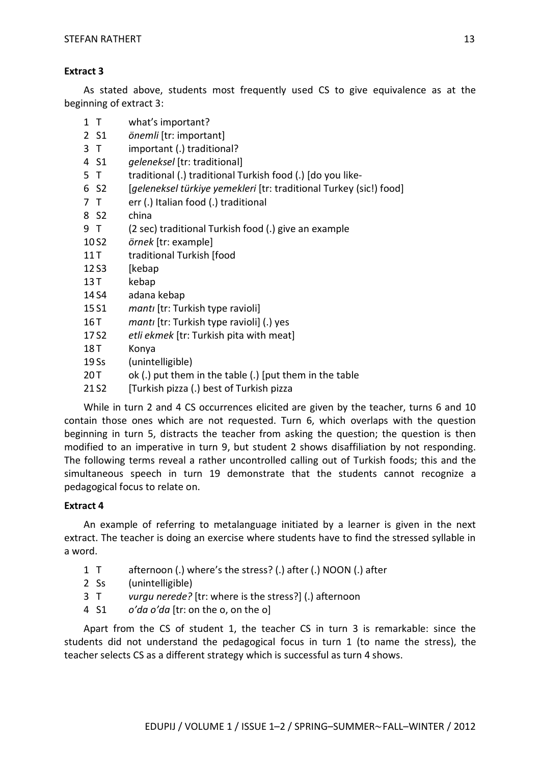#### **Extract 3**

As stated above, students most frequently used CS to give equivalence as at the beginning of extract 3:

- 1 T what's important?
- 2 S1 *önemli* [tr: important]
- 3 T important (.) traditional?
- 4 S1 *geleneksel* [tr: traditional]
- 5 T traditional (.) traditional Turkish food (.) [do you like-
- 6 S2 [*geleneksel türkiye yemekleri* [tr: traditional Turkey (sic!) food]
- 7 T err (.) Italian food (.) traditional
- 8 S2 china
- 9 T (2 sec) traditional Turkish food (.) give an example
- 10 S2 *örnek* [tr: example]
- 11 T traditional Turkish [food
- 12 S3 [kebap
- 13 T kebap
- 14 S4 adana kebap
- 15 S1 *mantı* [tr: Turkish type ravioli]
- 16 T *manti* [tr: Turkish type ravioli] (.) yes
- 17 S2 *etli ekmek* [tr: Turkish pita with meat]
- 18T Konya
- 19 Ss (unintelligible)
- 20 T ok (.) put them in the table (.) [put them in the table
- 21 S2 [Turkish pizza (.) best of Turkish pizza

While in turn 2 and 4 CS occurrences elicited are given by the teacher, turns 6 and 10 contain those ones which are not requested. Turn 6, which overlaps with the question beginning in turn 5, distracts the teacher from asking the question; the question is then modified to an imperative in turn 9, but student 2 shows disaffiliation by not responding. The following terms reveal a rather uncontrolled calling out of Turkish foods; this and the simultaneous speech in turn 19 demonstrate that the students cannot recognize a pedagogical focus to relate on.

## **Extract 4**

An example of referring to metalanguage initiated by a learner is given in the next extract. The teacher is doing an exercise where students have to find the stressed syllable in a word.

- 1 T afternoon (.) where's the stress? (.) after (.) NOON (.) after
- 2 Ss (unintelligible)
- 3 T *vurgu nerede?* [tr: where is the stress?] (.) afternoon
- 4 S1 *o'da o'da* [tr: on the o, on the o]

Apart from the CS of student 1, the teacher CS in turn 3 is remarkable: since the students did not understand the pedagogical focus in turn 1 (to name the stress), the teacher selects CS as a different strategy which is successful as turn 4 shows.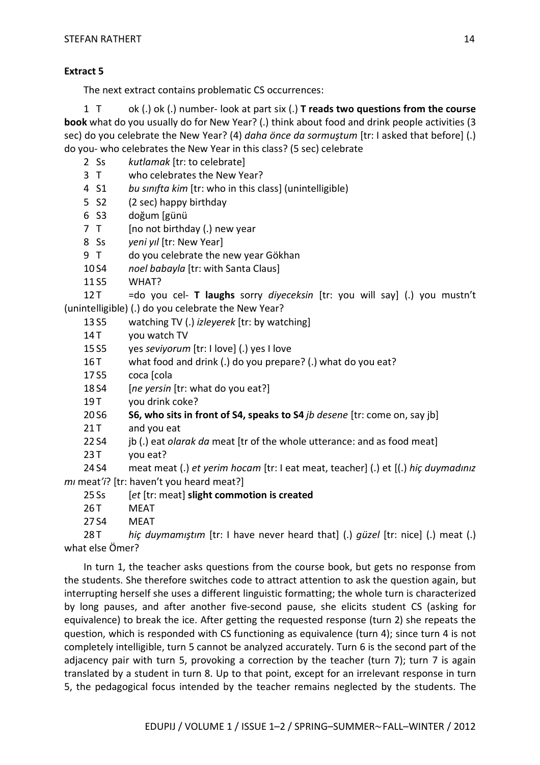#### **Extract 5**

The next extract contains problematic CS occurrences:

1 T ok (.) ok (.) number- look at part six (.) **T reads two questions from the course book** what do you usually do for New Year? (.) think about food and drink people activities (3 sec) do you celebrate the New Year? (4) *daha önce da sormuştum* [tr: I asked that before] (.) do you- who celebrates the New Year in this class? (5 sec) celebrate

- 2 Ss *kutlamak* [tr: to celebrate]
- 3 T who celebrates the New Year?
- 4 S1 *bu sınıfta kim* [tr: who in this class] (unintelligible)
- 5 S2 (2 sec) happy birthday
- 6 S3 doğum [günü
- 7 T [no not birthday (.) new year
- 8 Ss *yeni yıl* [tr: New Year]
- 9 T do you celebrate the new year Gökhan
- 10 S4 *noel babayla* [tr: with Santa Claus]
- 11 S5 WHAT?

12 T =do you cel- **T laughs** sorry *diyeceksin* [tr: you will say] (.) you mustn't (unintelligible) (.) do you celebrate the New Year?

- 13 S5 watching TV (.) *izleyerek* [tr: by watching]
- 14 T vou watch TV
- 15 S5 yes *seviyorum* [tr: I love] (.) yes I love
- 16 T what food and drink (.) do you prepare? (.) what do you eat?
- 17 S5 coca [cola
- 18 S4 [*ne yersin* [tr: what do you eat?]
- 19 T vou drink coke?
- 20 S6 **S6, who sits in front of S4, speaks to S4** *jb desene* [tr: come on, say jb]
- 21 T and you eat
- 22 S4 jb (.) eat *olarak da* meat [tr of the whole utterance: and as food meat]
- 23 T you eat?

24 S4 meat meat (.) *et yerim hocam* [tr: I eat meat, teacher] (.) et [(.) *hiç duymadınız mı* meat*'i*? [tr: haven't you heard meat?]

- 25 Ss [*et* [tr: meat] **slight commotion is created**
- 26 T MEAT
- 27 S4 MEAT

28 T *hiç duymamıştım* [tr: I have never heard that] (.) *güzel* [tr: nice] (.) meat (.) what else Ömer?

In turn 1, the teacher asks questions from the course book, but gets no response from the students. She therefore switches code to attract attention to ask the question again, but interrupting herself she uses a different linguistic formatting; the whole turn is characterized by long pauses, and after another five-second pause, she elicits student CS (asking for equivalence) to break the ice. After getting the requested response (turn 2) she repeats the question, which is responded with CS functioning as equivalence (turn 4); since turn 4 is not completely intelligible, turn 5 cannot be analyzed accurately. Turn 6 is the second part of the adjacency pair with turn 5, provoking a correction by the teacher (turn 7); turn 7 is again translated by a student in turn 8. Up to that point, except for an irrelevant response in turn 5, the pedagogical focus intended by the teacher remains neglected by the students. The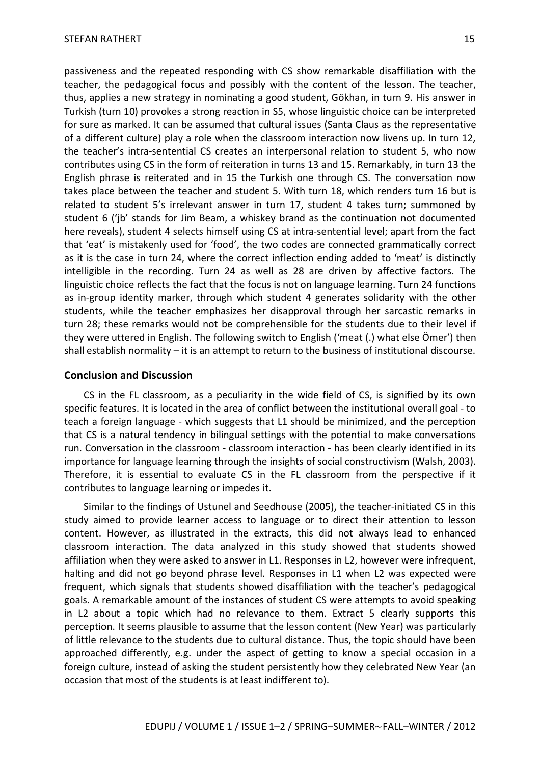passiveness and the repeated responding with CS show remarkable disaffiliation with the teacher, the pedagogical focus and possibly with the content of the lesson. The teacher, thus, applies a new strategy in nominating a good student, Gökhan, in turn 9. His answer in Turkish (turn 10) provokes a strong reaction in S5, whose linguistic choice can be interpreted for sure as marked. It can be assumed that cultural issues (Santa Claus as the representative of a different culture) play a role when the classroom interaction now livens up. In turn 12, the teacher's intra-sentential CS creates an interpersonal relation to student 5, who now contributes using CS in the form of reiteration in turns 13 and 15. Remarkably, in turn 13 the English phrase is reiterated and in 15 the Turkish one through CS. The conversation now takes place between the teacher and student 5. With turn 18, which renders turn 16 but is related to student 5's irrelevant answer in turn 17, student 4 takes turn; summoned by student 6 ('jb' stands for Jim Beam, a whiskey brand as the continuation not documented here reveals), student 4 selects himself using CS at intra-sentential level; apart from the fact that 'eat' is mistakenly used for 'food', the two codes are connected grammatically correct

as it is the case in turn 24, where the correct inflection ending added to 'meat' is distinctly intelligible in the recording. Turn 24 as well as 28 are driven by affective factors. The linguistic choice reflects the fact that the focus is not on language learning. Turn 24 functions as in-group identity marker, through which student 4 generates solidarity with the other students, while the teacher emphasizes her disapproval through her sarcastic remarks in turn 28; these remarks would not be comprehensible for the students due to their level if they were uttered in English. The following switch to English ('meat (.) what else Ömer') then shall establish normality – it is an attempt to return to the business of institutional discourse.

#### **Conclusion and Discussion**

CS in the FL classroom, as a peculiarity in the wide field of CS, is signified by its own specific features. It is located in the area of conflict between the institutional overall goal - to teach a foreign language - which suggests that L1 should be minimized, and the perception that CS is a natural tendency in bilingual settings with the potential to make conversations run. Conversation in the classroom - classroom interaction - has been clearly identified in its importance for language learning through the insights of social constructivism (Walsh, 2003). Therefore, it is essential to evaluate CS in the FL classroom from the perspective if it contributes to language learning or impedes it.

Similar to the findings of Ustunel and Seedhouse (2005), the teacher-initiated CS in this study aimed to provide learner access to language or to direct their attention to lesson content. However, as illustrated in the extracts, this did not always lead to enhanced classroom interaction. The data analyzed in this study showed that students showed affiliation when they were asked to answer in L1. Responses in L2, however were infrequent, halting and did not go beyond phrase level. Responses in L1 when L2 was expected were frequent, which signals that students showed disaffiliation with the teacher's pedagogical goals. A remarkable amount of the instances of student CS were attempts to avoid speaking in L2 about a topic which had no relevance to them. Extract 5 clearly supports this perception. It seems plausible to assume that the lesson content (New Year) was particularly of little relevance to the students due to cultural distance. Thus, the topic should have been approached differently, e.g. under the aspect of getting to know a special occasion in a foreign culture, instead of asking the student persistently how they celebrated New Year (an occasion that most of the students is at least indifferent to).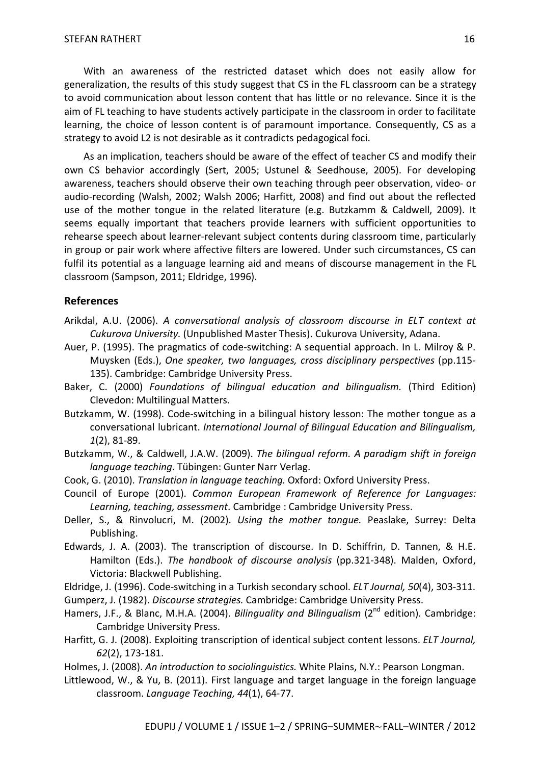With an awareness of the restricted dataset which does not easily allow for generalization, the results of this study suggest that CS in the FL classroom can be a strategy to avoid communication about lesson content that has little or no relevance. Since it is the aim of FL teaching to have students actively participate in the classroom in order to facilitate learning, the choice of lesson content is of paramount importance. Consequently, CS as a strategy to avoid L2 is not desirable as it contradicts pedagogical foci.

As an implication, teachers should be aware of the effect of teacher CS and modify their own CS behavior accordingly (Sert, 2005; Ustunel & Seedhouse, 2005). For developing awareness, teachers should observe their own teaching through peer observation, video- or audio-recording (Walsh, 2002; Walsh 2006; Harfitt, 2008) and find out about the reflected use of the mother tongue in the related literature (e.g. Butzkamm & Caldwell, 2009). It seems equally important that teachers provide learners with sufficient opportunities to rehearse speech about learner-relevant subject contents during classroom time, particularly in group or pair work where affective filters are lowered. Under such circumstances, CS can fulfil its potential as a language learning aid and means of discourse management in the FL classroom (Sampson, 2011; Eldridge, 1996).

## **References**

- Arikdal, A.U. (2006). *A conversational analysis of classroom discourse in ELT context at Cukurova University.* (Unpublished Master Thesis). Cukurova University, Adana.
- Auer, P. (1995). The pragmatics of code-switching: A sequential approach. In L. Milroy & P. Muysken (Eds.), *One speaker, two languages, cross disciplinary perspectives* (pp.115- 135). Cambridge: Cambridge University Press.
- Baker, C. (2000) *Foundations of bilingual education and bilingualism.* (Third Edition) Clevedon: Multilingual Matters.
- Butzkamm, W. (1998). Code-switching in a bilingual history lesson: The mother tongue as a conversational lubricant. *International Journal of Bilingual Education and Bilingualism, 1*(2), 81-89.
- Butzkamm, W., & Caldwell, J.A.W. (2009). *The bilingual reform. A paradigm shift in foreign language teaching*. Tübingen: Gunter Narr Verlag.
- Cook, G. (2010). *Translation in language teaching.* Oxford: Oxford University Press.
- Council of Europe (2001). *Common European Framework of Reference for Languages: Learning, teaching, assessment*. Cambridge : Cambridge University Press.
- Deller, S., & Rinvolucri, M. (2002). *Using the mother tongue.* Peaslake, Surrey: Delta Publishing.
- Edwards, J. A. (2003). The transcription of discourse. In D. Schiffrin, D. Tannen, & H.E. Hamilton (Eds.). *The handbook of discourse analysis* (pp.321-348). Malden, Oxford, Victoria: Blackwell Publishing.
- Eldridge, J. (1996). Code-switching in a Turkish secondary school. *ELT Journal, 50*(4), 303-311.
- Gumperz, J. (1982). *Discourse strategies.* Cambridge: Cambridge University Press.
- Hamers, J.F., & Blanc, M.H.A. (2004). *Bilinguality and Bilingualism* (2nd edition). Cambridge: Cambridge University Press.
- Harfitt, G. J. (2008). Exploiting transcription of identical subject content lessons. *ELT Journal, 62*(2), 173-181.
- Holmes, J. (2008). *An introduction to sociolinguistics.* White Plains, N.Y.: Pearson Longman.
- Littlewood, W., & Yu, B. (2011). First language and target language in the foreign language classroom. *Language Teaching, 44*(1), 64-77.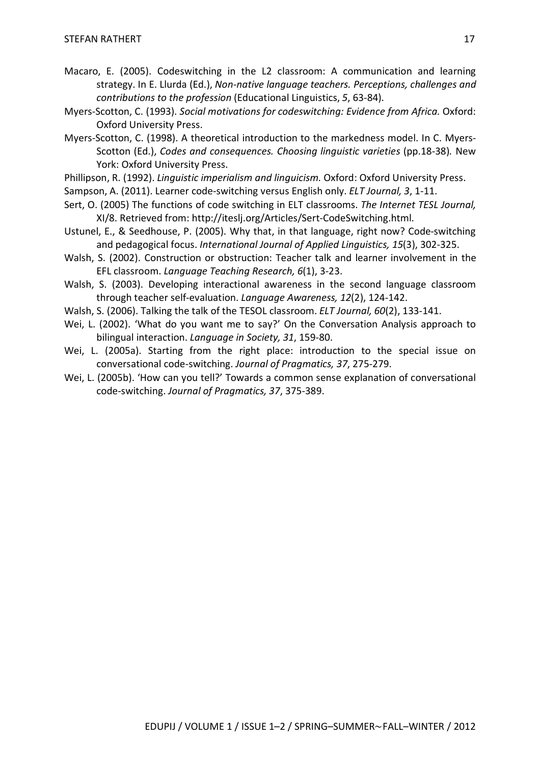- Macaro, E. (2005). Codeswitching in the L2 classroom: A communication and learning strategy. In E. Llurda (Ed.), *Non-native language teachers. Perceptions, challenges and contributions to the profession* (Educational Linguistics, *5*, 63-84).
- Myers-Scotton, C. (1993). *Social motivations for codeswitching: Evidence from Africa.* Oxford: Oxford University Press.
- Myers-Scotton, C. (1998). A theoretical introduction to the markedness model. In C. Myers-Scotton (Ed.), *Codes and consequences. Choosing linguistic varieties* (pp.18-38)*.* New York: Oxford University Press.
- Phillipson, R. (1992). *Linguistic imperialism and linguicism.* Oxford: Oxford University Press.
- Sampson, A. (2011). Learner code-switching versus English only. *ELT Journal, 3*, 1-11.
- Sert, O. (2005) The functions of code switching in ELT classrooms. *The Internet TESL Journal,*  XI/8. Retrieved from: http://iteslj.org/Articles/Sert-CodeSwitching.html.
- Ustunel, E., & Seedhouse, P. (2005). Why that, in that language, right now? Code-switching and pedagogical focus. *International Journal of Applied Linguistics, 15*(3), 302-325.
- Walsh, S. (2002). Construction or obstruction: Teacher talk and learner involvement in the EFL classroom. *Language Teaching Research, 6*(1), 3-23.
- Walsh, S. (2003). Developing interactional awareness in the second language classroom through teacher self-evaluation. *Language Awareness, 12*(2), 124-142.
- Walsh, S. (2006). Talking the talk of the TESOL classroom. *ELT Journal, 60*(2), 133-141.
- Wei, L. (2002). 'What do you want me to say?' On the Conversation Analysis approach to bilingual interaction. *Language in Society, 31*, 159-80.
- Wei, L. (2005a). Starting from the right place: introduction to the special issue on conversational code-switching. *Journal of Pragmatics, 37*, 275-279.
- Wei, L. (2005b). 'How can you tell?' Towards a common sense explanation of conversational code-switching. *Journal of Pragmatics, 37*, 375-389.